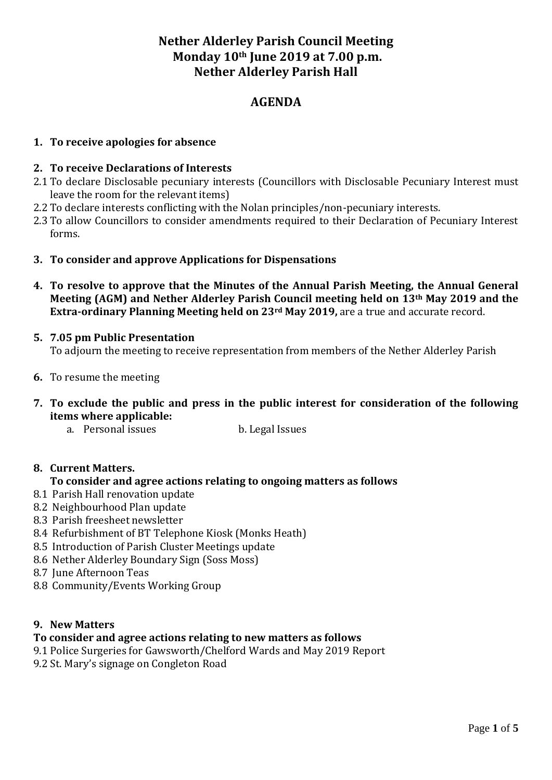## **Nether Alderley Parish Council Meeting Monday 10th June 2019 at 7.00 p.m. Nether Alderley Parish Hall**

## **AGENDA**

## **1. To receive apologies for absence**

### **2. To receive Declarations of Interests**

- 2.1 To declare Disclosable pecuniary interests (Councillors with Disclosable Pecuniary Interest must leave the room for the relevant items)
- 2.2 To declare interests conflicting with the Nolan principles/non-pecuniary interests.
- 2.3 To allow Councillors to consider amendments required to their Declaration of Pecuniary Interest forms.
- **3. To consider and approve Applications for Dispensations**
- **4. To resolve to approve that the Minutes of the Annual Parish Meeting, the Annual General Meeting (AGM) and Nether Alderley Parish Council meeting held on 13th May 2019 and the Extra-ordinary Planning Meeting held on 23rd May 2019,** are a true and accurate record.
- **5. 7.05 pm Public Presentation** To adjourn the meeting to receive representation from members of the Nether Alderley Parish
- **6.** To resume the meeting
- **7. To exclude the public and press in the public interest for consideration of the following items where applicable:**
	- a. Personal issues b. Legal Issues

## **8. Current Matters. To consider and agree actions relating to ongoing matters as follows**

- 8.1 Parish Hall renovation update
- 8.2 Neighbourhood Plan update
- 8.3 Parish freesheet newsletter
- 8.4 Refurbishment of BT Telephone Kiosk (Monks Heath)
- 8.5 Introduction of Parish Cluster Meetings update
- 8.6 Nether Alderley Boundary Sign (Soss Moss)
- 8.7 June Afternoon Teas
- 8.8 Community/Events Working Group

#### **9. New Matters**

#### **To consider and agree actions relating to new matters as follows**

- 9.1 Police Surgeries for Gawsworth/Chelford Wards and May 2019 Report
- 9.2 St. Mary's signage on Congleton Road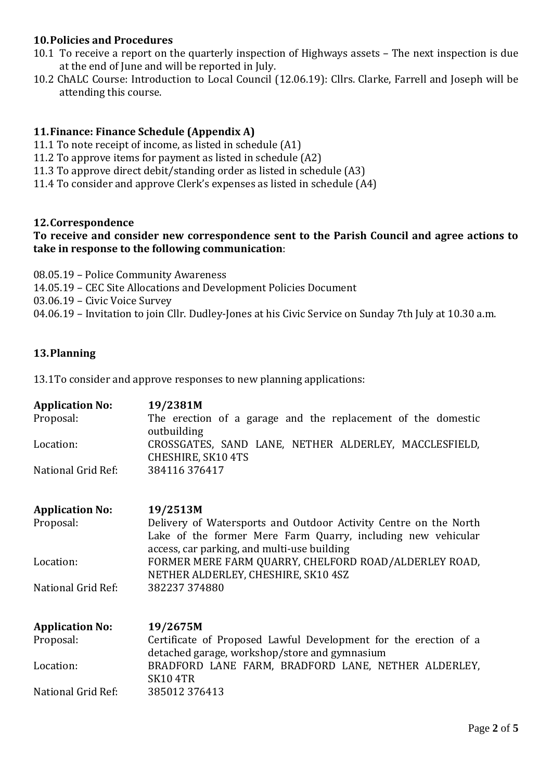## **10.Policies and Procedures**

- 10.1 To receive a report on the quarterly inspection of Highways assets The next inspection is due at the end of June and will be reported in July.
- 10.2 ChALC Course: Introduction to Local Council (12.06.19): Cllrs. Clarke, Farrell and Joseph will be attending this course.

## **11.Finance: Finance Schedule (Appendix A)**

- 11.1 To note receipt of income, as listed in schedule (A1)
- 11.2 To approve items for payment as listed in schedule (A2)
- 11.3 To approve direct debit/standing order as listed in schedule (A3)
- 11.4 To consider and approve Clerk's expenses as listed in schedule (A4)

### **12.Correspondence**

### **To receive and consider new correspondence sent to the Parish Council and agree actions to take in response to the following communication**:

08.05.19 – Police Community Awareness

- 14.05.19 CEC Site Allocations and Development Policies Document
- 03.06.19 Civic Voice Survey
- 04.06.19 Invitation to join Cllr. Dudley-Jones at his Civic Service on Sunday 7th July at 10.30 a.m.

### **13.Planning**

13.1To consider and approve responses to new planning applications:

| <b>Application No:</b> | 19/2381M                                                                                                                                                                        |
|------------------------|---------------------------------------------------------------------------------------------------------------------------------------------------------------------------------|
| Proposal:              | The erection of a garage and the replacement of the domestic<br>outbuilding                                                                                                     |
| Location:              | CROSSGATES, SAND LANE, NETHER ALDERLEY, MACCLESFIELD,                                                                                                                           |
|                        | CHESHIRE, SK10 4TS                                                                                                                                                              |
| National Grid Ref:     | 384116 376417                                                                                                                                                                   |
| <b>Application No:</b> | 19/2513M                                                                                                                                                                        |
| Proposal:              | Delivery of Watersports and Outdoor Activity Centre on the North<br>Lake of the former Mere Farm Quarry, including new vehicular<br>access, car parking, and multi-use building |
| Location:              | FORMER MERE FARM QUARRY, CHELFORD ROAD/ALDERLEY ROAD,<br>NETHER ALDERLEY, CHESHIRE, SK10 4SZ                                                                                    |
| National Grid Ref:     | 382237 374880                                                                                                                                                                   |
| <b>Application No:</b> | 19/2675M                                                                                                                                                                        |
| Proposal:              | Certificate of Proposed Lawful Development for the erection of a<br>detached garage, workshop/store and gymnasium                                                               |
| Location:              | BRADFORD LANE FARM, BRADFORD LANE, NETHER ALDERLEY,<br><b>SK10 4TR</b>                                                                                                          |
| National Grid Ref:     | 385012 376413                                                                                                                                                                   |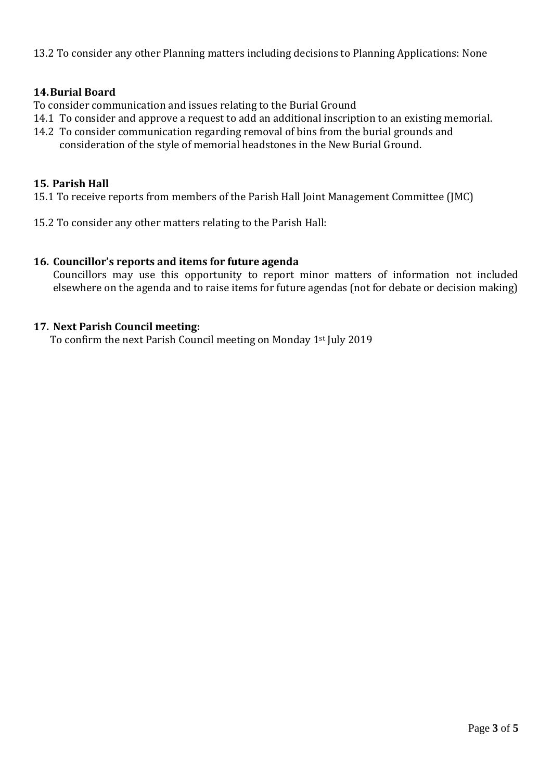13.2 To consider any other Planning matters including decisions to Planning Applications: None

## **14.Burial Board**

To consider communication and issues relating to the Burial Ground

- 14.1 To consider and approve a request to add an additional inscription to an existing memorial.
- 14.2 To consider communication regarding removal of bins from the burial grounds and consideration of the style of memorial headstones in the New Burial Ground.

### **15. Parish Hall**

15.1 To receive reports from members of the Parish Hall Joint Management Committee (JMC)

15.2 To consider any other matters relating to the Parish Hall:

#### **16. Councillor's reports and items for future agenda**

Councillors may use this opportunity to report minor matters of information not included elsewhere on the agenda and to raise items for future agendas (not for debate or decision making)

#### **17. Next Parish Council meeting:**

To confirm the next Parish Council meeting on Monday 1st July 2019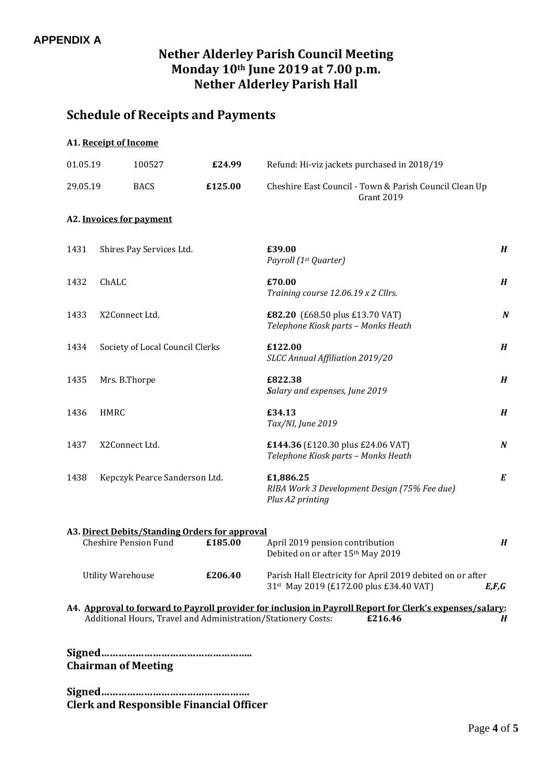## **Nether Alderley Parish Council Meeting Monday 10th June 2019 at 7.00 p.m. Nether Alderley Parish Hall**

# **Schedule of Receipts and Payments**

# **A1. Receipt of Income**

| 01.05.19                                                                                                                                                                                  |                                 | 100527                                         | £24.99  | Refund: Hi-viz jackets purchased in 2018/19                                                                                  |                  |  |  |  |
|-------------------------------------------------------------------------------------------------------------------------------------------------------------------------------------------|---------------------------------|------------------------------------------------|---------|------------------------------------------------------------------------------------------------------------------------------|------------------|--|--|--|
|                                                                                                                                                                                           | 29.05.19<br><b>BACS</b>         |                                                | £125.00 | Cheshire East Council - Town & Parish Council Clean Up<br><b>Grant 2019</b>                                                  |                  |  |  |  |
|                                                                                                                                                                                           | A2. Invoices for payment        |                                                |         |                                                                                                                              |                  |  |  |  |
| 1431                                                                                                                                                                                      |                                 | Shires Pay Services Ltd.                       |         | £39.00<br>Payroll (1st Quarter)                                                                                              | $\boldsymbol{H}$ |  |  |  |
| 1432                                                                                                                                                                                      | ChALC                           |                                                |         | £70.00<br>Training course 12.06.19 x 2 Cllrs.                                                                                | $\boldsymbol{H}$ |  |  |  |
| 1433                                                                                                                                                                                      | X2Connect Ltd.                  |                                                |         | £82.20 (£68.50 plus £13.70 VAT)<br>Telephone Kiosk parts - Monks Heath                                                       | $\boldsymbol{N}$ |  |  |  |
| 1434                                                                                                                                                                                      | Society of Local Council Clerks |                                                |         | £122.00<br>SLCC Annual Affiliation 2019/20                                                                                   | $\boldsymbol{H}$ |  |  |  |
| 1435                                                                                                                                                                                      | Mrs. B.Thorpe                   |                                                |         | £822.38<br>Salary and expenses, June 2019                                                                                    | $\boldsymbol{H}$ |  |  |  |
| 1436                                                                                                                                                                                      | <b>HMRC</b>                     |                                                |         | £34.13<br>Tax/NI, June 2019                                                                                                  | $\boldsymbol{H}$ |  |  |  |
| 1437                                                                                                                                                                                      | X2Connect Ltd.                  |                                                |         | £144.36 (£120.30 plus £24.06 VAT)<br>Telephone Kiosk parts - Monks Heath                                                     | $\boldsymbol{N}$ |  |  |  |
| 1438                                                                                                                                                                                      |                                 | Kepczyk Pearce Sanderson Ltd.                  |         | £1,886.25<br>RIBA Work 3 Development Design (75% Fee due)<br>Plus A2 printing                                                | $\pmb{E}$        |  |  |  |
|                                                                                                                                                                                           |                                 | A3. Direct Debits/Standing Orders for approval |         |                                                                                                                              |                  |  |  |  |
| <b>Cheshire Pension Fund</b><br>£185.00                                                                                                                                                   |                                 |                                                |         | April 2019 pension contribution<br>Debited on or after 15th May 2019                                                         | $\boldsymbol{H}$ |  |  |  |
| £206.40<br><b>Utility Warehouse</b>                                                                                                                                                       |                                 |                                                |         | Parish Hall Electricity for April 2019 debited on or after<br>31 <sup>st</sup> May 2019 (£172.00 plus £34.40 VAT)<br>E, F, G |                  |  |  |  |
| A4. Approval to forward to Payroll provider for inclusion in Payroll Report for Clerk's expenses/salary:<br>Additional Hours, Travel and Administration/Stationery Costs:<br>£216.46<br>H |                                 |                                                |         |                                                                                                                              |                  |  |  |  |
| <b>Chairman of Meeting</b>                                                                                                                                                                |                                 |                                                |         |                                                                                                                              |                  |  |  |  |

**Signed……………………………………………. Clerk and Responsible Financial Officer**